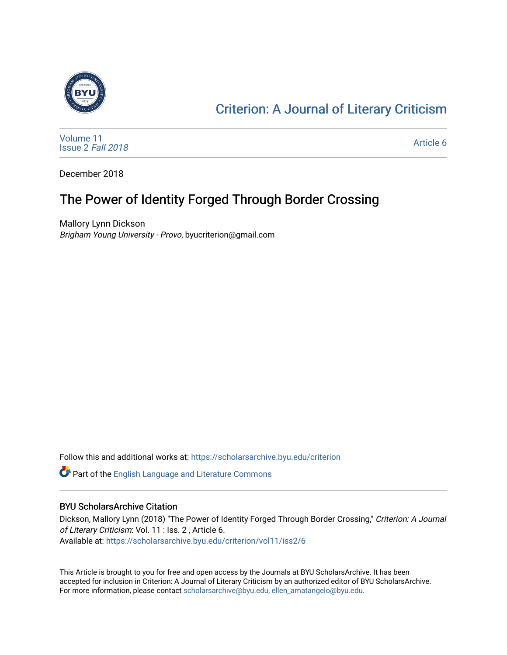

## [Criterion: A Journal of Literary Criticism](https://scholarsarchive.byu.edu/criterion)

[Volume 11](https://scholarsarchive.byu.edu/criterion/vol11) [Issue 2](https://scholarsarchive.byu.edu/criterion/vol11/iss2) Fall 2018

[Article 6](https://scholarsarchive.byu.edu/criterion/vol11/iss2/6) 

December 2018

### The Power of Identity Forged Through Border Crossing

Mallory Lynn Dickson Brigham Young University - Provo, byucriterion@gmail.com

Follow this and additional works at: [https://scholarsarchive.byu.edu/criterion](https://scholarsarchive.byu.edu/criterion?utm_source=scholarsarchive.byu.edu%2Fcriterion%2Fvol11%2Fiss2%2F6&utm_medium=PDF&utm_campaign=PDFCoverPages) 

Part of the [English Language and Literature Commons](http://network.bepress.com/hgg/discipline/455?utm_source=scholarsarchive.byu.edu%2Fcriterion%2Fvol11%2Fiss2%2F6&utm_medium=PDF&utm_campaign=PDFCoverPages)

#### BYU ScholarsArchive Citation

Dickson, Mallory Lynn (2018) "The Power of Identity Forged Through Border Crossing," Criterion: A Journal of Literary Criticism: Vol. 11 : Iss. 2 , Article 6. Available at: [https://scholarsarchive.byu.edu/criterion/vol11/iss2/6](https://scholarsarchive.byu.edu/criterion/vol11/iss2/6?utm_source=scholarsarchive.byu.edu%2Fcriterion%2Fvol11%2Fiss2%2F6&utm_medium=PDF&utm_campaign=PDFCoverPages)

This Article is brought to you for free and open access by the Journals at BYU ScholarsArchive. It has been accepted for inclusion in Criterion: A Journal of Literary Criticism by an authorized editor of BYU ScholarsArchive. For more information, please contact [scholarsarchive@byu.edu, ellen\\_amatangelo@byu.edu](mailto:scholarsarchive@byu.edu,%20ellen_amatangelo@byu.edu).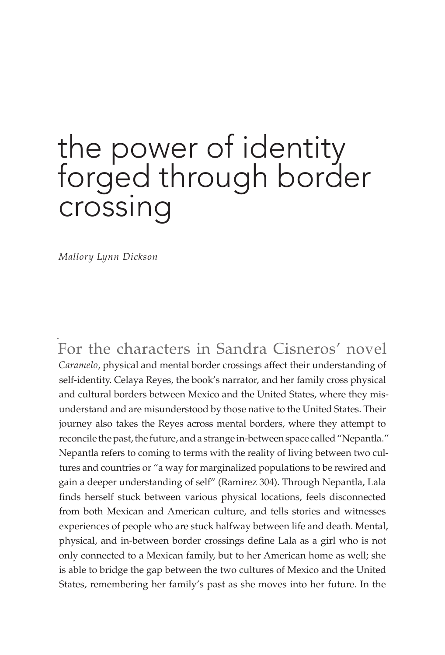# the power of identity forged through border crossing

*Mallory Lynn Dickson*

. For the characters in Sandra Cisneros' novel *Caramelo*, physical and mental border crossings affect their understanding of self-identity. Celaya Reyes, the book's narrator, and her family cross physical and cultural borders between Mexico and the United States, where they misunderstand and are misunderstood by those native to the United States. Their journey also takes the Reyes across mental borders, where they attempt to reconcile the past, the future, and a strange in-between space called "Nepantla." Nepantla refers to coming to terms with the reality of living between two cultures and countries or "a way for marginalized populations to be rewired and gain a deeper understanding of self" (Ramirez 304). Through Nepantla, Lala finds herself stuck between various physical locations, feels disconnected from both Mexican and American culture, and tells stories and witnesses experiences of people who are stuck halfway between life and death. Mental, physical, and in-between border crossings define Lala as a girl who is not only connected to a Mexican family, but to her American home as well; she is able to bridge the gap between the two cultures of Mexico and the United States, remembering her family's past as she moves into her future. In the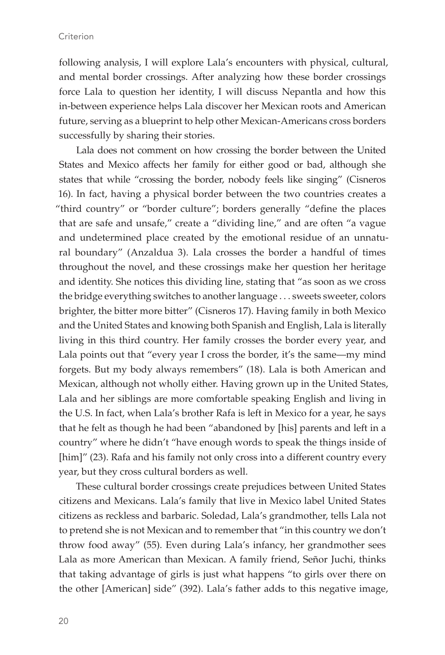following analysis, I will explore Lala's encounters with physical, cultural, and mental border crossings. After analyzing how these border crossings force Lala to question her identity, I will discuss Nepantla and how this in-between experience helps Lala discover her Mexican roots and American future, serving as a blueprint to help other Mexican-Americans cross borders successfully by sharing their stories.

Lala does not comment on how crossing the border between the United States and Mexico affects her family for either good or bad, although she states that while "crossing the border, nobody feels like singing" (Cisneros 16). In fact, having a physical border between the two countries creates a "third country" or "border culture"; borders generally "define the places that are safe and unsafe," create a "dividing line," and are often "a vague and undetermined place created by the emotional residue of an unnatural boundary" (Anzaldua 3). Lala crosses the border a handful of times throughout the novel, and these crossings make her question her heritage and identity. She notices this dividing line, stating that "as soon as we cross the bridge everything switches to another language . . . sweets sweeter, colors brighter, the bitter more bitter" (Cisneros 17). Having family in both Mexico and the United States and knowing both Spanish and English, Lala is literally living in this third country. Her family crosses the border every year, and Lala points out that "every year I cross the border, it's the same—my mind forgets. But my body always remembers" (18). Lala is both American and Mexican, although not wholly either. Having grown up in the United States, Lala and her siblings are more comfortable speaking English and living in the U.S. In fact, when Lala's brother Rafa is left in Mexico for a year, he says that he felt as though he had been "abandoned by [his] parents and left in a country" where he didn't "have enough words to speak the things inside of [him]" (23). Rafa and his family not only cross into a different country every year, but they cross cultural borders as well.

These cultural border crossings create prejudices between United States citizens and Mexicans. Lala's family that live in Mexico label United States citizens as reckless and barbaric. Soledad, Lala's grandmother, tells Lala not to pretend she is not Mexican and to remember that "in this country we don't throw food away" (55). Even during Lala's infancy, her grandmother sees Lala as more American than Mexican. A family friend, Señor Juchi, thinks that taking advantage of girls is just what happens "to girls over there on the other [American] side" (392). Lala's father adds to this negative image,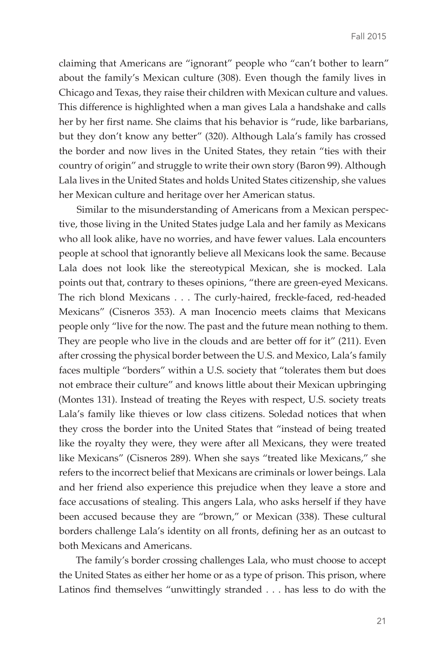claiming that Americans are "ignorant" people who "can't bother to learn" about the family's Mexican culture (308). Even though the family lives in Chicago and Texas, they raise their children with Mexican culture and values. This difference is highlighted when a man gives Lala a handshake and calls her by her first name. She claims that his behavior is "rude, like barbarians, but they don't know any better" (320). Although Lala's family has crossed the border and now lives in the United States, they retain "ties with their country of origin" and struggle to write their own story (Baron 99). Although Lala lives in the United States and holds United States citizenship, she values her Mexican culture and heritage over her American status.

Similar to the misunderstanding of Americans from a Mexican perspective, those living in the United States judge Lala and her family as Mexicans who all look alike, have no worries, and have fewer values. Lala encounters people at school that ignorantly believe all Mexicans look the same. Because Lala does not look like the stereotypical Mexican, she is mocked. Lala points out that, contrary to theses opinions, "there are green-eyed Mexicans. The rich blond Mexicans . . . The curly-haired, freckle-faced, red-headed Mexicans" (Cisneros 353). A man Inocencio meets claims that Mexicans people only "live for the now. The past and the future mean nothing to them. They are people who live in the clouds and are better off for it" (211). Even after crossing the physical border between the U.S. and Mexico, Lala's family faces multiple "borders" within a U.S. society that "tolerates them but does not embrace their culture" and knows little about their Mexican upbringing (Montes 131). Instead of treating the Reyes with respect, U.S. society treats Lala's family like thieves or low class citizens. Soledad notices that when they cross the border into the United States that "instead of being treated like the royalty they were, they were after all Mexicans, they were treated like Mexicans" (Cisneros 289). When she says "treated like Mexicans," she refers to the incorrect belief that Mexicans are criminals or lower beings. Lala and her friend also experience this prejudice when they leave a store and face accusations of stealing. This angers Lala, who asks herself if they have been accused because they are "brown," or Mexican (338). These cultural borders challenge Lala's identity on all fronts, defining her as an outcast to both Mexicans and Americans.

The family's border crossing challenges Lala, who must choose to accept the United States as either her home or as a type of prison. This prison, where Latinos find themselves "unwittingly stranded . . . has less to do with the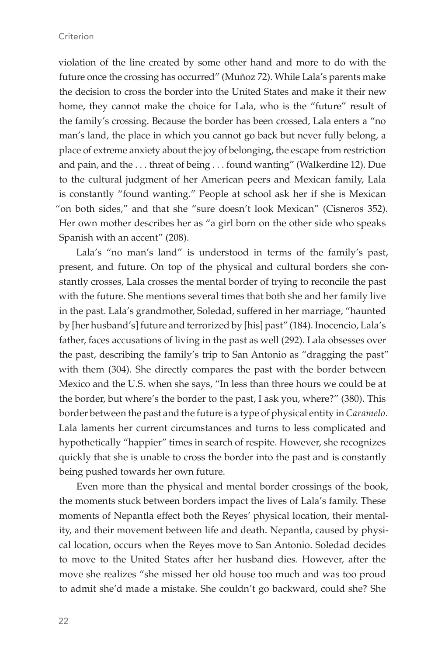violation of the line created by some other hand and more to do with the future once the crossing has occurred" (Muñoz 72). While Lala's parents make the decision to cross the border into the United States and make it their new home, they cannot make the choice for Lala, who is the "future" result of the family's crossing. Because the border has been crossed, Lala enters a "no man's land, the place in which you cannot go back but never fully belong, a place of extreme anxiety about the joy of belonging, the escape from restriction and pain, and the . . . threat of being . . . found wanting" (Walkerdine 12). Due to the cultural judgment of her American peers and Mexican family, Lala is constantly "found wanting." People at school ask her if she is Mexican "on both sides," and that she "sure doesn't look Mexican" (Cisneros 352). Her own mother describes her as "a girl born on the other side who speaks Spanish with an accent" (208).

Lala's "no man's land" is understood in terms of the family's past, present, and future. On top of the physical and cultural borders she constantly crosses, Lala crosses the mental border of trying to reconcile the past with the future. She mentions several times that both she and her family live in the past. Lala's grandmother, Soledad, suffered in her marriage, "haunted by [her husband's] future and terrorized by [his] past" (184). Inocencio, Lala's father, faces accusations of living in the past as well (292). Lala obsesses over the past, describing the family's trip to San Antonio as "dragging the past" with them (304). She directly compares the past with the border between Mexico and the U.S. when she says, "In less than three hours we could be at the border, but where's the border to the past, I ask you, where?" (380). This border between the past and the future is a type of physical entity in *Caramelo*. Lala laments her current circumstances and turns to less complicated and hypothetically "happier" times in search of respite. However, she recognizes quickly that she is unable to cross the border into the past and is constantly being pushed towards her own future.

Even more than the physical and mental border crossings of the book, the moments stuck between borders impact the lives of Lala's family. These moments of Nepantla effect both the Reyes' physical location, their mentality, and their movement between life and death. Nepantla, caused by physical location, occurs when the Reyes move to San Antonio. Soledad decides to move to the United States after her husband dies. However, after the move she realizes "she missed her old house too much and was too proud to admit she'd made a mistake. She couldn't go backward, could she? She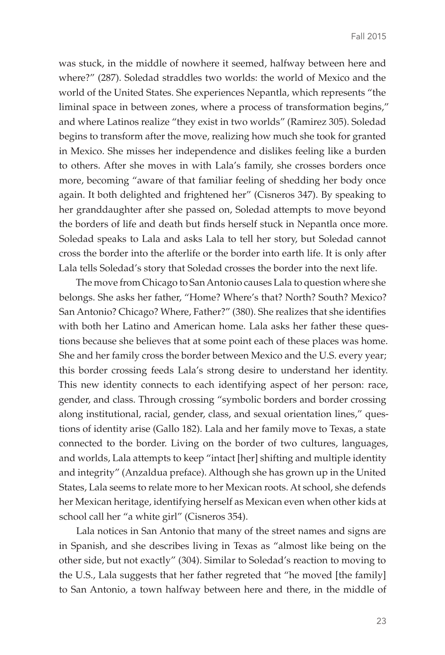was stuck, in the middle of nowhere it seemed, halfway between here and where?" (287). Soledad straddles two worlds: the world of Mexico and the world of the United States. She experiences Nepantla, which represents "the liminal space in between zones, where a process of transformation begins," and where Latinos realize "they exist in two worlds" (Ramirez 305). Soledad begins to transform after the move, realizing how much she took for granted in Mexico. She misses her independence and dislikes feeling like a burden to others. After she moves in with Lala's family, she crosses borders once more, becoming "aware of that familiar feeling of shedding her body once again. It both delighted and frightened her" (Cisneros 347). By speaking to her granddaughter after she passed on, Soledad attempts to move beyond the borders of life and death but finds herself stuck in Nepantla once more. Soledad speaks to Lala and asks Lala to tell her story, but Soledad cannot cross the border into the afterlife or the border into earth life. It is only after Lala tells Soledad's story that Soledad crosses the border into the next life.

The move from Chicago to San Antonio causes Lala to question where she belongs. She asks her father, "Home? Where's that? North? South? Mexico? San Antonio? Chicago? Where, Father?" (380). She realizes that she identifies with both her Latino and American home. Lala asks her father these questions because she believes that at some point each of these places was home. She and her family cross the border between Mexico and the U.S. every year; this border crossing feeds Lala's strong desire to understand her identity. This new identity connects to each identifying aspect of her person: race, gender, and class. Through crossing "symbolic borders and border crossing along institutional, racial, gender, class, and sexual orientation lines," questions of identity arise (Gallo 182). Lala and her family move to Texas, a state connected to the border. Living on the border of two cultures, languages, and worlds, Lala attempts to keep "intact [her] shifting and multiple identity and integrity" (Anzaldua preface). Although she has grown up in the United States, Lala seems to relate more to her Mexican roots. At school, she defends her Mexican heritage, identifying herself as Mexican even when other kids at school call her "a white girl" (Cisneros 354).

Lala notices in San Antonio that many of the street names and signs are in Spanish, and she describes living in Texas as "almost like being on the other side, but not exactly" (304). Similar to Soledad's reaction to moving to the U.S., Lala suggests that her father regreted that "he moved [the family] to San Antonio, a town halfway between here and there, in the middle of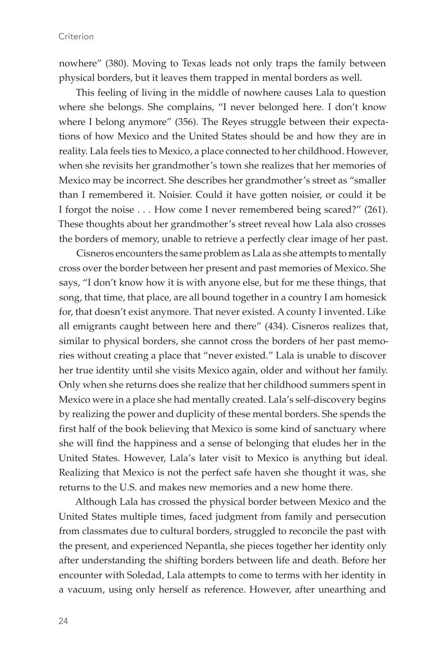nowhere" (380). Moving to Texas leads not only traps the family between physical borders, but it leaves them trapped in mental borders as well.

This feeling of living in the middle of nowhere causes Lala to question where she belongs. She complains, "I never belonged here. I don't know where I belong anymore" (356). The Reyes struggle between their expectations of how Mexico and the United States should be and how they are in reality. Lala feels ties to Mexico, a place connected to her childhood. However, when she revisits her grandmother's town she realizes that her memories of Mexico may be incorrect. She describes her grandmother's street as "smaller than I remembered it. Noisier. Could it have gotten noisier, or could it be I forgot the noise . . . How come I never remembered being scared?" (261). These thoughts about her grandmother's street reveal how Lala also crosses the borders of memory, unable to retrieve a perfectly clear image of her past.

Cisneros encounters the same problem as Lala as she attempts to mentally cross over the border between her present and past memories of Mexico. She says, "I don't know how it is with anyone else, but for me these things, that song, that time, that place, are all bound together in a country I am homesick for, that doesn't exist anymore. That never existed. A county I invented. Like all emigrants caught between here and there" (434). Cisneros realizes that, similar to physical borders, she cannot cross the borders of her past memories without creating a place that "never existed." Lala is unable to discover her true identity until she visits Mexico again, older and without her family. Only when she returns does she realize that her childhood summers spent in Mexico were in a place she had mentally created. Lala's self-discovery begins by realizing the power and duplicity of these mental borders. She spends the first half of the book believing that Mexico is some kind of sanctuary where she will find the happiness and a sense of belonging that eludes her in the United States. However, Lala's later visit to Mexico is anything but ideal. Realizing that Mexico is not the perfect safe haven she thought it was, she returns to the U.S. and makes new memories and a new home there.

Although Lala has crossed the physical border between Mexico and the United States multiple times, faced judgment from family and persecution from classmates due to cultural borders, struggled to reconcile the past with the present, and experienced Nepantla, she pieces together her identity only after understanding the shifting borders between life and death. Before her encounter with Soledad, Lala attempts to come to terms with her identity in a vacuum, using only herself as reference. However, after unearthing and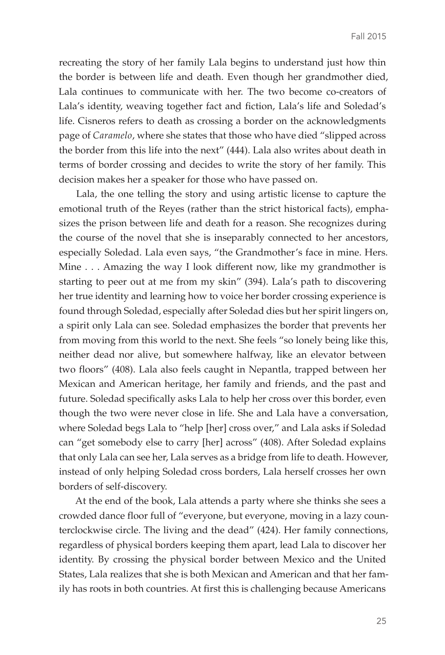recreating the story of her family Lala begins to understand just how thin the border is between life and death. Even though her grandmother died, Lala continues to communicate with her. The two become co-creators of Lala's identity, weaving together fact and fiction, Lala's life and Soledad's life. Cisneros refers to death as crossing a border on the acknowledgments page of *Caramelo*, where she states that those who have died "slipped across the border from this life into the next" (444). Lala also writes about death in terms of border crossing and decides to write the story of her family. This decision makes her a speaker for those who have passed on.

Lala, the one telling the story and using artistic license to capture the emotional truth of the Reyes (rather than the strict historical facts), emphasizes the prison between life and death for a reason. She recognizes during the course of the novel that she is inseparably connected to her ancestors, especially Soledad. Lala even says, "the Grandmother's face in mine. Hers. Mine . . . Amazing the way I look different now, like my grandmother is starting to peer out at me from my skin" (394). Lala's path to discovering her true identity and learning how to voice her border crossing experience is found through Soledad, especially after Soledad dies but her spirit lingers on, a spirit only Lala can see. Soledad emphasizes the border that prevents her from moving from this world to the next. She feels "so lonely being like this, neither dead nor alive, but somewhere halfway, like an elevator between two floors" (408). Lala also feels caught in Nepantla, trapped between her Mexican and American heritage, her family and friends, and the past and future. Soledad specifically asks Lala to help her cross over this border, even though the two were never close in life. She and Lala have a conversation, where Soledad begs Lala to "help [her] cross over," and Lala asks if Soledad can "get somebody else to carry [her] across" (408). After Soledad explains that only Lala can see her, Lala serves as a bridge from life to death. However, instead of only helping Soledad cross borders, Lala herself crosses her own borders of self-discovery.

At the end of the book, Lala attends a party where she thinks she sees a crowded dance floor full of "everyone, but everyone, moving in a lazy counterclockwise circle. The living and the dead" (424). Her family connections, regardless of physical borders keeping them apart, lead Lala to discover her identity. By crossing the physical border between Mexico and the United States, Lala realizes that she is both Mexican and American and that her family has roots in both countries. At first this is challenging because Americans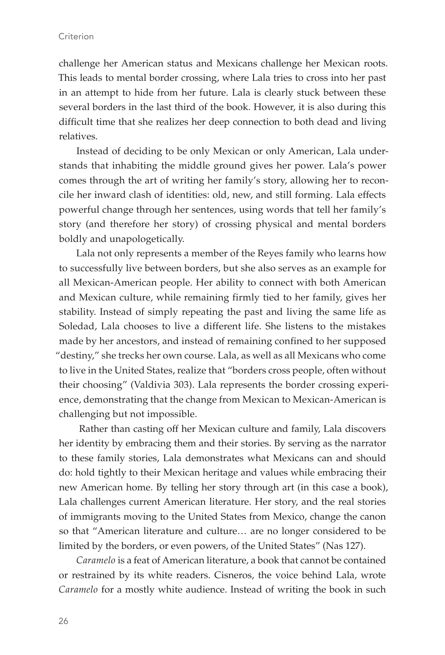#### **Criterion**

challenge her American status and Mexicans challenge her Mexican roots. This leads to mental border crossing, where Lala tries to cross into her past in an attempt to hide from her future. Lala is clearly stuck between these several borders in the last third of the book. However, it is also during this difficult time that she realizes her deep connection to both dead and living relatives.

Instead of deciding to be only Mexican or only American, Lala understands that inhabiting the middle ground gives her power. Lala's power comes through the art of writing her family's story, allowing her to reconcile her inward clash of identities: old, new, and still forming. Lala effects powerful change through her sentences, using words that tell her family's story (and therefore her story) of crossing physical and mental borders boldly and unapologetically.

Lala not only represents a member of the Reyes family who learns how to successfully live between borders, but she also serves as an example for all Mexican-American people. Her ability to connect with both American and Mexican culture, while remaining firmly tied to her family, gives her stability. Instead of simply repeating the past and living the same life as Soledad, Lala chooses to live a different life. She listens to the mistakes made by her ancestors, and instead of remaining confined to her supposed "destiny," she trecks her own course. Lala, as well as all Mexicans who come to live in the United States, realize that "borders cross people, often without their choosing" (Valdivia 303). Lala represents the border crossing experience, demonstrating that the change from Mexican to Mexican-American is challenging but not impossible.

 Rather than casting off her Mexican culture and family, Lala discovers her identity by embracing them and their stories. By serving as the narrator to these family stories, Lala demonstrates what Mexicans can and should do: hold tightly to their Mexican heritage and values while embracing their new American home. By telling her story through art (in this case a book), Lala challenges current American literature. Her story, and the real stories of immigrants moving to the United States from Mexico, change the canon so that "American literature and culture… are no longer considered to be limited by the borders, or even powers, of the United States" (Nas 127).

*Caramelo* is a feat of American literature, a book that cannot be contained or restrained by its white readers. Cisneros, the voice behind Lala, wrote *Caramelo* for a mostly white audience. Instead of writing the book in such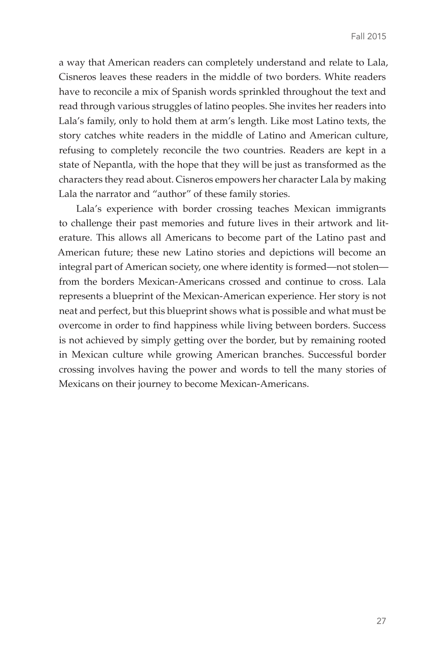a way that American readers can completely understand and relate to Lala, Cisneros leaves these readers in the middle of two borders. White readers have to reconcile a mix of Spanish words sprinkled throughout the text and read through various struggles of latino peoples. She invites her readers into Lala's family, only to hold them at arm's length. Like most Latino texts, the story catches white readers in the middle of Latino and American culture, refusing to completely reconcile the two countries. Readers are kept in a state of Nepantla, with the hope that they will be just as transformed as the characters they read about. Cisneros empowers her character Lala by making Lala the narrator and "author" of these family stories.

Lala's experience with border crossing teaches Mexican immigrants to challenge their past memories and future lives in their artwork and literature. This allows all Americans to become part of the Latino past and American future; these new Latino stories and depictions will become an integral part of American society, one where identity is formed—not stolen from the borders Mexican-Americans crossed and continue to cross. Lala represents a blueprint of the Mexican-American experience. Her story is not neat and perfect, but this blueprint shows what is possible and what must be overcome in order to find happiness while living between borders. Success is not achieved by simply getting over the border, but by remaining rooted in Mexican culture while growing American branches. Successful border crossing involves having the power and words to tell the many stories of Mexicans on their journey to become Mexican-Americans.